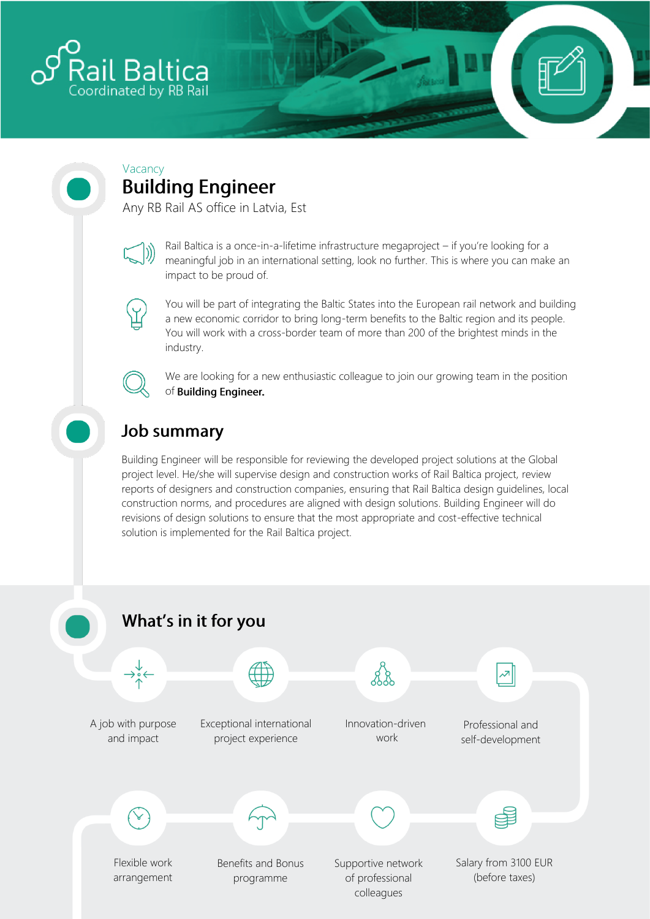

#### Vacancy **Building Engineer**

Any RB Rail AS office in Latvia, Est



Rail Baltica is a once-in-a-lifetime infrastructure megaproject – if you're looking for a meaningful job in an international setting, look no further. This is where you can make an impact to be proud of.



You will be part of integrating the Baltic States into the European rail network and building a new economic corridor to bring long-term benefits to the Baltic region and its people. You will work with a cross-border team of more than 200 of the brightest minds in the industry.



We are looking for a new enthusiastic colleague to join our growing team in the position of Building Engineer.

# **Job summary**

Building Engineer will be responsible for reviewing the developed project solutions at the Global project level. He/she will supervise design and construction works of Rail Baltica project, review reports of designers and construction companies, ensuring that Rail Baltica design guidelines, local construction norms, and procedures are aligned with design solutions. Building Engineer will do revisions of design solutions to ensure that the most appropriate and cost-effective technical solution is implemented for the Rail Baltica project.